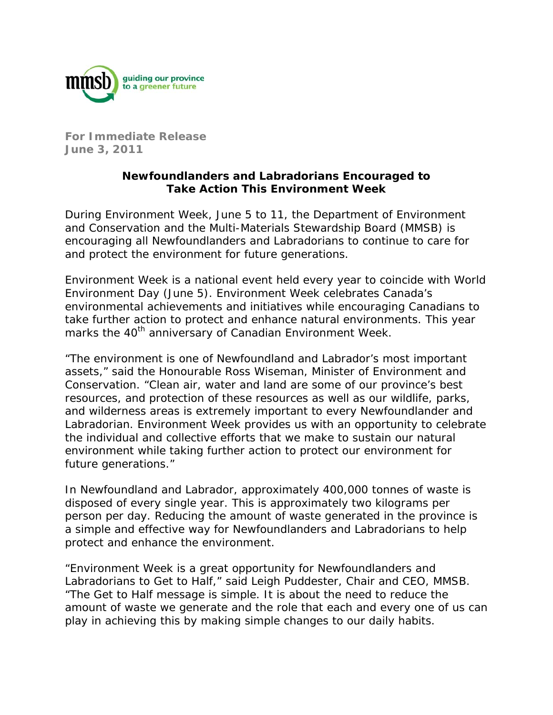

**For Immediate Release June 3, 2011** 

## **Newfoundlanders and Labradorians Encouraged to Take Action This Environment Week**

During Environment Week, June 5 to 11, the Department of Environment and Conservation and the Multi-Materials Stewardship Board (MMSB) is encouraging all Newfoundlanders and Labradorians to continue to care for and protect the environment for future generations.

Environment Week is a national event held every year to coincide with World Environment Day (June 5). Environment Week celebrates Canada's environmental achievements and initiatives while encouraging Canadians to take further action to protect and enhance natural environments. This year marks the 40<sup>th</sup> anniversary of Canadian Environment Week.

"The environment is one of Newfoundland and Labrador's most important assets," said the Honourable Ross Wiseman, Minister of Environment and Conservation. "Clean air, water and land are some of our province's best resources, and protection of these resources as well as our wildlife, parks, and wilderness areas is extremely important to every Newfoundlander and Labradorian. Environment Week provides us with an opportunity to celebrate the individual and collective efforts that we make to sustain our natural environment while taking further action to protect our environment for future generations."

In Newfoundland and Labrador, approximately 400,000 tonnes of waste is disposed of every single year. This is approximately two kilograms per person per day. Reducing the amount of waste generated in the province is a simple and effective way for Newfoundlanders and Labradorians to help protect and enhance the environment.

"Environment Week is a great opportunity for Newfoundlanders and Labradorians to Get to Half," said Leigh Puddester, Chair and CEO, MMSB. "The Get to Half message is simple. It is about the need to reduce the amount of waste we generate and the role that each and every one of us can play in achieving this by making simple changes to our daily habits.